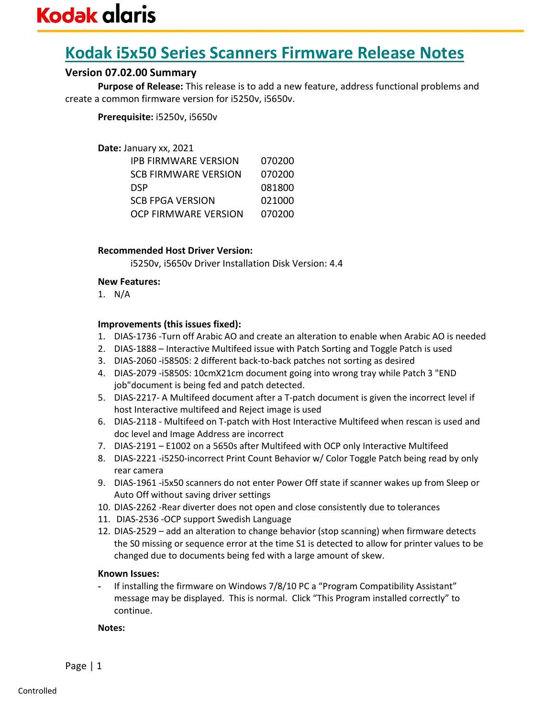## **Kodak i5x50 Series Scanners Firmware Release Notes**

## **Version 07.02.00 Summary**

**Purpose of Release:** This release is to add a new feature, address functional problems and create a common firmware version for i5250v, i5650v.

**Prerequisite:** i5250v, i5650v

#### **Date:** January xx, 2021

| IPB FIRMWARE VERSION | 070200 |
|----------------------|--------|
| SCB FIRMWARE VERSION | 070200 |
| DSP                  | 081800 |
| SCB FPGA VERSION     | 021000 |
| OCP FIRMWARE VERSION | 070200 |

### **Recommended Host Driver Version:**

i5250v, i5650v Driver Installation Disk Version: 4.4

#### **New Features:**

1. N/A

#### **Improvements (this issues fixed):**

- 1. DIAS-1736 -Turn off Arabic AO and create an alteration to enable when Arabic AO is needed
- 2. DIAS-1888 Interactive Multifeed issue with Patch Sorting and Toggle Patch is used
- 3. DIAS-2060 -i5850S: 2 different back-to-back patches not sorting as desired
- 4. DIAS-2079 -i5850S: 10cmX21cm document going into wrong tray while Patch 3 "END job"document is being fed and patch detected.
- 5. DIAS-2217- A Multifeed document after a T-patch document is given the incorrect level if host Interactive multifeed and Reject image is used
- 6. DIAS-2118 Multifeed on T-patch with Host Interactive Multifeed when rescan is used and doc level and Image Address are incorrect
- 7. DIAS-2191 E1002 on a 5650s after Multifeed with OCP only Interactive Multifeed
- 8. DIAS-2221 -i5250-incorrect Print Count Behavior w/ Color Toggle Patch being read by only rear camera
- 9. DIAS-1961 -i5x50 scanners do not enter Power Off state if scanner wakes up from Sleep or Auto Off without saving driver settings
- 10. DIAS-2262 -Rear diverter does not open and close consistently due to tolerances
- 11. DIAS-2536 -OCP support Swedish Language
- 12. DIAS-2529 add an alteration to change behavior (stop scanning) when firmware detects the S0 missing or sequence error at the time S1 is detected to allow for printer values to be changed due to documents being fed with a large amount of skew.

#### **Known Issues:**

**-** If installing the firmware on Windows 7/8/10 PC a "Program Compatibility Assistant" message may be displayed. This is normal. Click "This Program installed correctly" to continue.

**Notes:**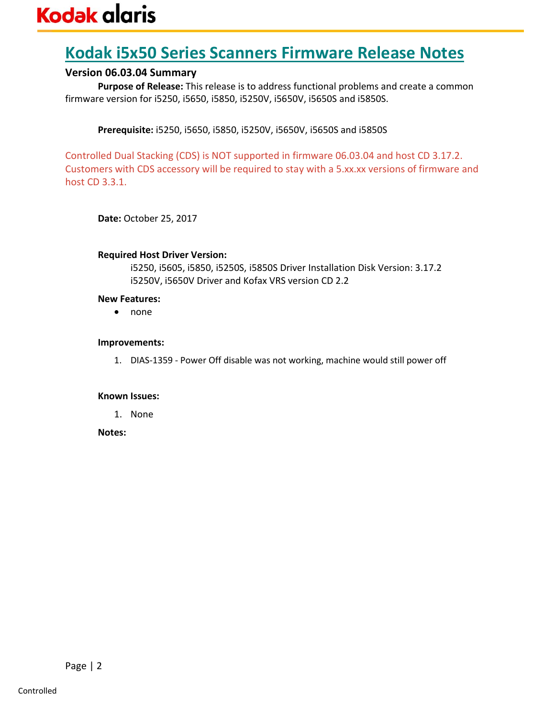## **Kodak i5x50 Series Scanners Firmware Release Notes**

### **Version 06.03.04 Summary**

**Purpose of Release:** This release is to address functional problems and create a common firmware version for i5250, i5650, i5850, i5250V, i5650V, i5650S and i5850S.

**Prerequisite:** i5250, i5650, i5850, i5250V, i5650V, i5650S and i5850S

Controlled Dual Stacking (CDS) is NOT supported in firmware 06.03.04 and host CD 3.17.2. Customers with CDS accessory will be required to stay with a 5.xx.xx versions of firmware and host CD 3.3.1.

**Date:** October 25, 2017

#### **Required Host Driver Version:**

i5250, i5605, i5850, i5250S, i5850S Driver Installation Disk Version: 3.17.2 i5250V, i5650V Driver and Kofax VRS version CD 2.2

#### **New Features:**

• none

#### **Improvements:**

1. DIAS-1359 - Power Off disable was not working, machine would still power off

### **Known Issues:**

1. None

**Notes:**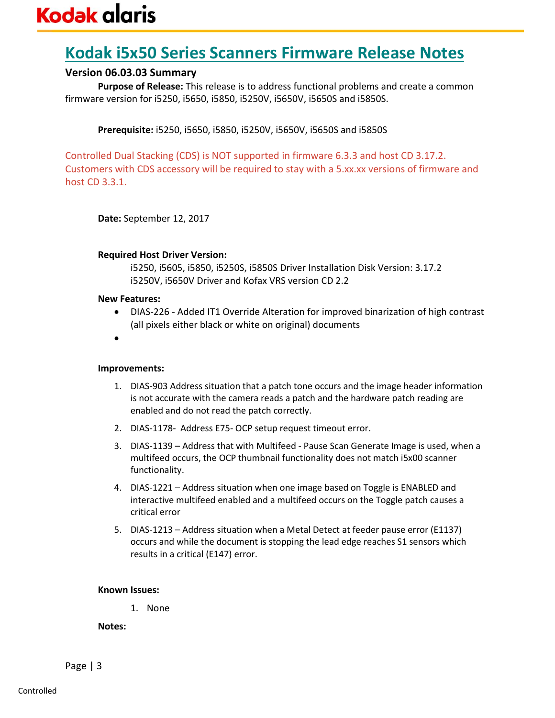## **Kodak i5x50 Series Scanners Firmware Release Notes**

## **Version 06.03.03 Summary**

**Purpose of Release:** This release is to address functional problems and create a common firmware version for i5250, i5650, i5850, i5250V, i5650V, i5650S and i5850S.

**Prerequisite:** i5250, i5650, i5850, i5250V, i5650V, i5650S and i5850S

Controlled Dual Stacking (CDS) is NOT supported in firmware 6.3.3 and host CD 3.17.2. Customers with CDS accessory will be required to stay with a 5.xx.xx versions of firmware and host CD 3.3.1.

**Date:** September 12, 2017

#### **Required Host Driver Version:**

i5250, i5605, i5850, i5250S, i5850S Driver Installation Disk Version: 3.17.2 i5250V, i5650V Driver and Kofax VRS version CD 2.2

#### **New Features:**

- DIAS-226 Added IT1 Override Alteration for improved binarization of high contrast (all pixels either black or white on original) documents
- •

#### **Improvements:**

- 1. DIAS-903 Address situation that a patch tone occurs and the image header information is not accurate with the camera reads a patch and the hardware patch reading are enabled and do not read the patch correctly.
- 2. DIAS-1178- Address E75- OCP setup request timeout error.
- 3. DIAS-1139 Address that with Multifeed Pause Scan Generate Image is used, when a multifeed occurs, the OCP thumbnail functionality does not match i5x00 scanner functionality.
- 4. DIAS-1221 Address situation when one image based on Toggle is ENABLED and interactive multifeed enabled and a multifeed occurs on the Toggle patch causes a critical error
- 5. DIAS-1213 Address situation when a Metal Detect at feeder pause error (E1137) occurs and while the document is stopping the lead edge reaches S1 sensors which results in a critical (E147) error.

#### **Known Issues:**

1. None

**Notes:**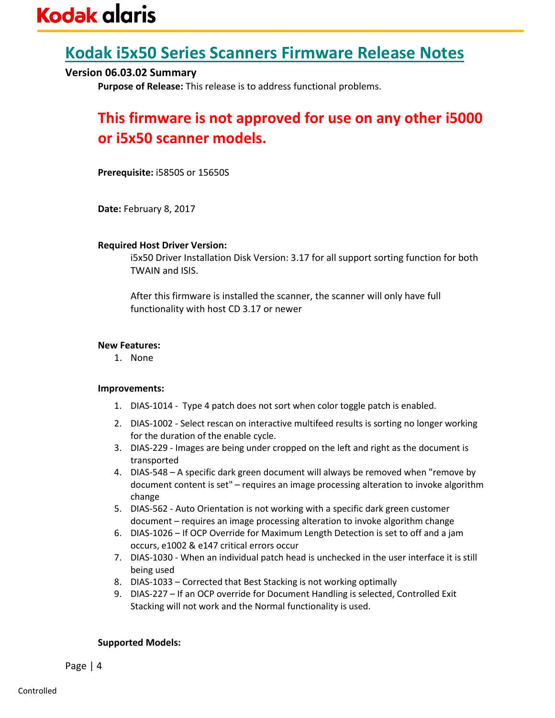## **Kodak i5x50 Series Scanners Firmware Release Notes**

## **Version 06.03.02 Summary**

**Purpose of Release:** This release is to address functional problems.

## **This firmware is not approved for use on any other i5000 or i5x50 scanner models.**

**Prerequisite:** i5850S or 15650S

**Date:** February 8, 2017

#### **Required Host Driver Version:**

i5x50 Driver Installation Disk Version: 3.17 for all support sorting function for both TWAIN and ISIS.

After this firmware is installed the scanner, the scanner will only have full functionality with host CD 3.17 or newer

#### **New Features:**

1. None

#### **Improvements:**

- 1. DIAS-1014 Type 4 patch does not sort when color toggle patch is enabled.
- 2. DIAS-1002 Select rescan on interactive multifeed results is sorting no longer working for the duration of the enable cycle.
- 3. DIAS-229 Images are being under cropped on the left and right as the document is transported
- 4. DIAS-548 A specific dark green document will always be removed when "remove by document content is set" – requires an image processing alteration to invoke algorithm change
- 5. DIAS-562 Auto Orientation is not working with a specific dark green customer document – requires an image processing alteration to invoke algorithm change
- 6. DIAS-1026 If OCP Override for Maximum Length Detection is set to off and a jam occurs, e1002 & e147 critical errors occur
- 7. DIAS-1030 When an individual patch head is unchecked in the user interface it is still being used
- 8. DIAS-1033 Corrected that Best Stacking is not working optimally
- 9. DIAS-227 If an OCP override for Document Handling is selected, Controlled Exit Stacking will not work and the Normal functionality is used.

#### **Supported Models:**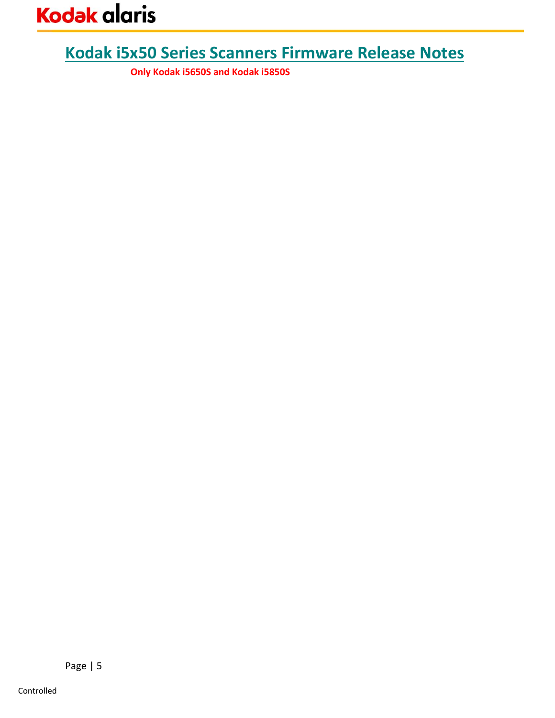# **Kodak i5x50 Series Scanners Firmware Release Notes**

**Only Kodak i5650S and Kodak i5850S**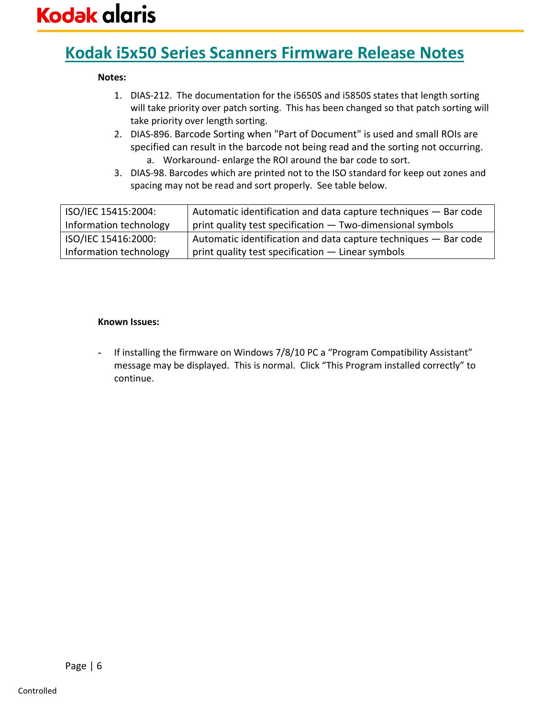## **Kodak i5x50 Series Scanners Firmware Release Notes**

#### **Notes:**

- 1. DIAS-212. The documentation for the i5650S and i5850S states that length sorting will take priority over patch sorting. This has been changed so that patch sorting will take priority over length sorting.
- 2. DIAS-896. Barcode Sorting when "Part of Document" is used and small ROIs are specified can result in the barcode not being read and the sorting not occurring. a. Workaround- enlarge the ROI around the bar code to sort.
- 3. DIAS-98. Barcodes which are printed not to the ISO standard for keep out zones and spacing may not be read and sort properly. See table below.

| ISO/IEC 15415:2004:    | Automatic identification and data capture techniques - Bar code |
|------------------------|-----------------------------------------------------------------|
| Information technology | print quality test specification - Two-dimensional symbols      |
| ISO/IEC 15416:2000:    | Automatic identification and data capture techniques - Bar code |
| Information technology | print quality test specification - Linear symbols               |

#### **Known Issues:**

**-** If installing the firmware on Windows 7/8/10 PC a "Program Compatibility Assistant" message may be displayed. This is normal. Click "This Program installed correctly" to continue.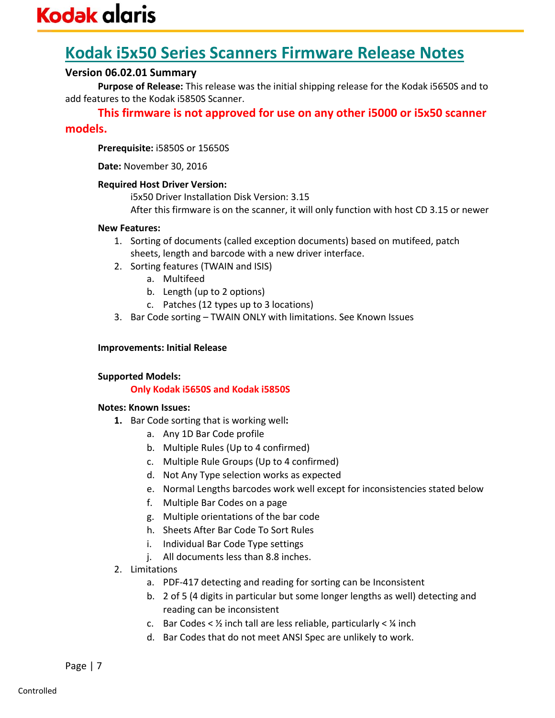## **Kodak i5x50 Series Scanners Firmware Release Notes**

## **Version 06.02.01 Summary**

**Purpose of Release:** This release was the initial shipping release for the Kodak i5650S and to add features to the Kodak i5850S Scanner.

**This firmware is not approved for use on any other i5000 or i5x50 scanner** 

## **models.**

**Prerequisite:** i5850S or 15650S

**Date:** November 30, 2016

#### **Required Host Driver Version:**

i5x50 Driver Installation Disk Version: 3.15 After this firmware is on the scanner, it will only function with host CD 3.15 or newer

#### **New Features:**

- 1. Sorting of documents (called exception documents) based on mutifeed, patch sheets, length and barcode with a new driver interface.
- 2. Sorting features (TWAIN and ISIS)
	- a. Multifeed
	- b. Length (up to 2 options)
	- c. Patches (12 types up to 3 locations)
- 3. Bar Code sorting TWAIN ONLY with limitations. See Known Issues

#### **Improvements: Initial Release**

#### **Supported Models:**

### **Only Kodak i5650S and Kodak i5850S**

#### **Notes: Known Issues:**

- **1.** Bar Code sorting that is working well**:**
	- a. Any 1D Bar Code profile
	- b. Multiple Rules (Up to 4 confirmed)
	- c. Multiple Rule Groups (Up to 4 confirmed)
	- d. Not Any Type selection works as expected
	- e. Normal Lengths barcodes work well except for inconsistencies stated below
	- f. Multiple Bar Codes on a page
	- g. Multiple orientations of the bar code
	- h. Sheets After Bar Code To Sort Rules
	- i. Individual Bar Code Type settings
	- j. All documents less than 8.8 inches.
- 2. Limitations
	- a. PDF-417 detecting and reading for sorting can be Inconsistent
	- b. 2 of 5 (4 digits in particular but some longer lengths as well) detecting and reading can be inconsistent
	- c. Bar Codes <  $\frac{1}{2}$  inch tall are less reliable, particularly <  $\frac{1}{4}$  inch
	- d. Bar Codes that do not meet ANSI Spec are unlikely to work.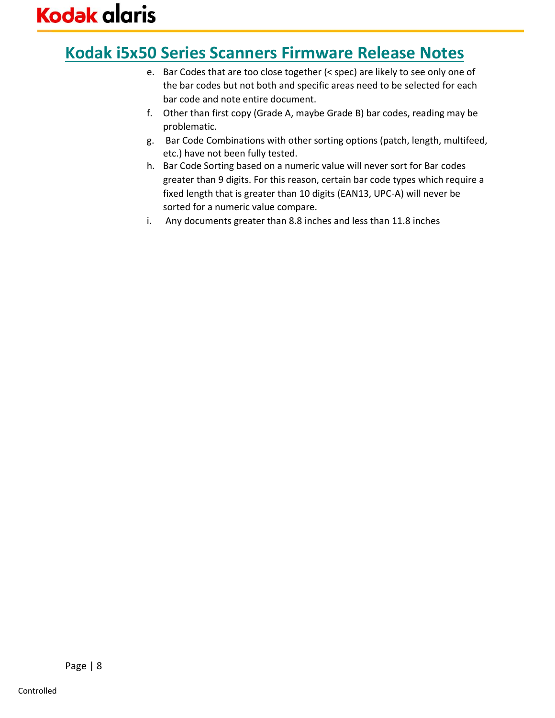## **Kodak i5x50 Series Scanners Firmware Release Notes**

- e. Bar Codes that are too close together (< spec) are likely to see only one of the bar codes but not both and specific areas need to be selected for each bar code and note entire document.
- f. Other than first copy (Grade A, maybe Grade B) bar codes, reading may be problematic.
- g. Bar Code Combinations with other sorting options (patch, length, multifeed, etc.) have not been fully tested.
- h. Bar Code Sorting based on a numeric value will never sort for Bar codes greater than 9 digits. For this reason, certain bar code types which require a fixed length that is greater than 10 digits (EAN13, UPC-A) will never be sorted for a numeric value compare.
- i. Any documents greater than 8.8 inches and less than 11.8 inches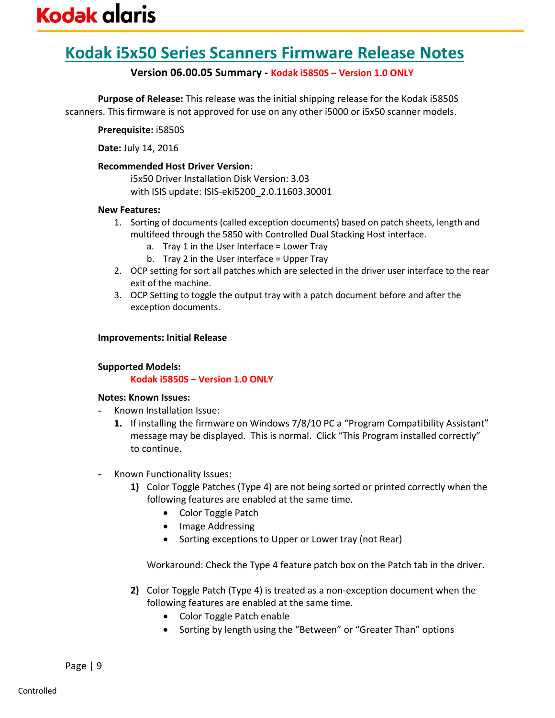## **Kodak i5x50 Series Scanners Firmware Release Notes**

### **Version 06.00.05 Summary - Kodak i5850S – Version 1.0 ONLY**

**Purpose of Release:** This release was the initial shipping release for the Kodak i5850S scanners. This firmware is not approved for use on any other i5000 or i5x50 scanner models.

**Prerequisite:** i5850S

**Date:** July 14, 2016

#### **Recommended Host Driver Version:**

i5x50 Driver Installation Disk Version: 3.03 with ISIS update: ISIS-eki5200\_2.0.11603.30001

#### **New Features:**

- 1. Sorting of documents (called exception documents) based on patch sheets, length and multifeed through the 5850 with Controlled Dual Stacking Host interface.
	- a. Tray 1 in the User Interface = Lower Tray
	- b. Tray 2 in the User Interface = Upper Tray
- 2. OCP setting for sort all patches which are selected in the driver user interface to the rear exit of the machine.
- 3. OCP Setting to toggle the output tray with a patch document before and after the exception documents.

### **Improvements: Initial Release**

### **Supported Models:**

### **Kodak i5850S – Version 1.0 ONLY**

#### **Notes: Known Issues:**

- **-** Known Installation Issue:
	- **1.** If installing the firmware on Windows 7/8/10 PC a "Program Compatibility Assistant" message may be displayed. This is normal. Click "This Program installed correctly" to continue.
- **-** Known Functionality Issues:
	- **1)** Color Toggle Patches (Type 4) are not being sorted or printed correctly when the following features are enabled at the same time.
		- Color Toggle Patch
		- Image Addressing
		- Sorting exceptions to Upper or Lower tray (not Rear)

Workaround: Check the Type 4 feature patch box on the Patch tab in the driver.

- **2)** Color Toggle Patch (Type 4) is treated as a non-exception document when the following features are enabled at the same time.
	- Color Toggle Patch enable
	- Sorting by length using the "Between" or "Greater Than" options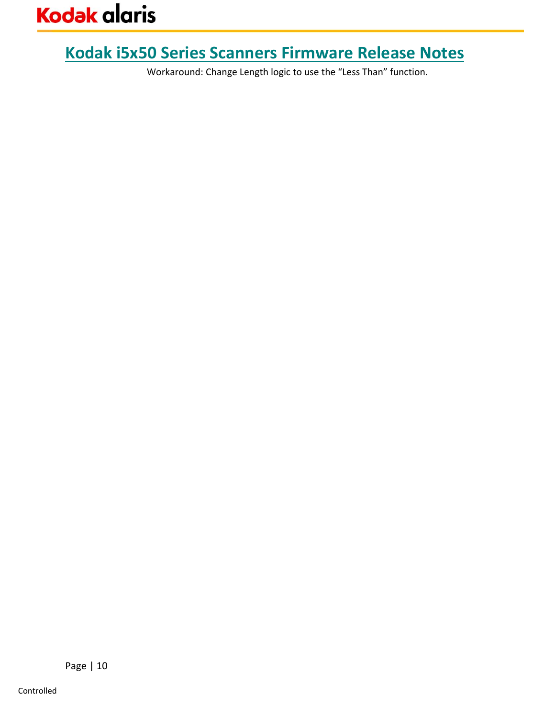# **Kodak i5x50 Series Scanners Firmware Release Notes**

Workaround: Change Length logic to use the "Less Than" function.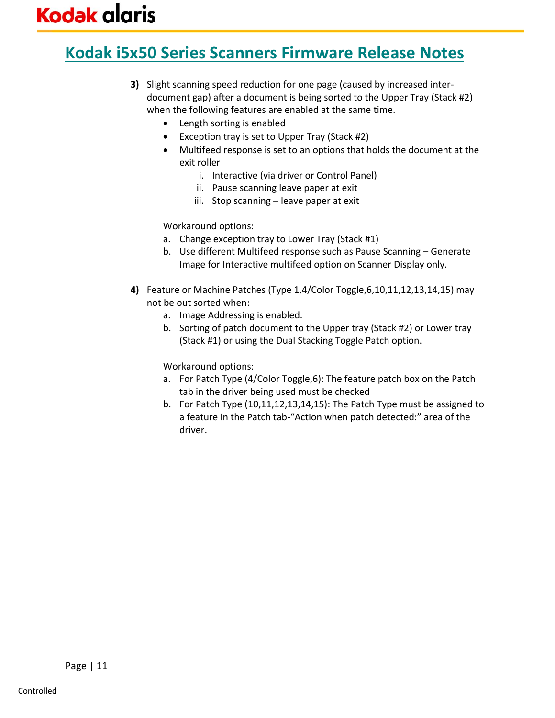# **Kodak i5x50 Series Scanners Firmware Release Notes**

- **3)** Slight scanning speed reduction for one page (caused by increased interdocument gap) after a document is being sorted to the Upper Tray (Stack #2) when the following features are enabled at the same time.
	- Length sorting is enabled
	- Exception tray is set to Upper Tray (Stack #2)
	- Multifeed response is set to an options that holds the document at the exit roller
		- i. Interactive (via driver or Control Panel)
		- ii. Pause scanning leave paper at exit
		- iii. Stop scanning leave paper at exit

Workaround options:

- a. Change exception tray to Lower Tray (Stack #1)
- b. Use different Multifeed response such as Pause Scanning Generate Image for Interactive multifeed option on Scanner Display only.
- **4)** Feature or Machine Patches (Type 1,4/Color Toggle,6,10,11,12,13,14,15) may not be out sorted when:
	- a. Image Addressing is enabled.
	- b. Sorting of patch document to the Upper tray (Stack #2) or Lower tray (Stack #1) or using the Dual Stacking Toggle Patch option.

Workaround options:

- a. For Patch Type (4/Color Toggle,6): The feature patch box on the Patch tab in the driver being used must be checked
- b. For Patch Type (10,11,12,13,14,15): The Patch Type must be assigned to a feature in the Patch tab-"Action when patch detected:" area of the driver.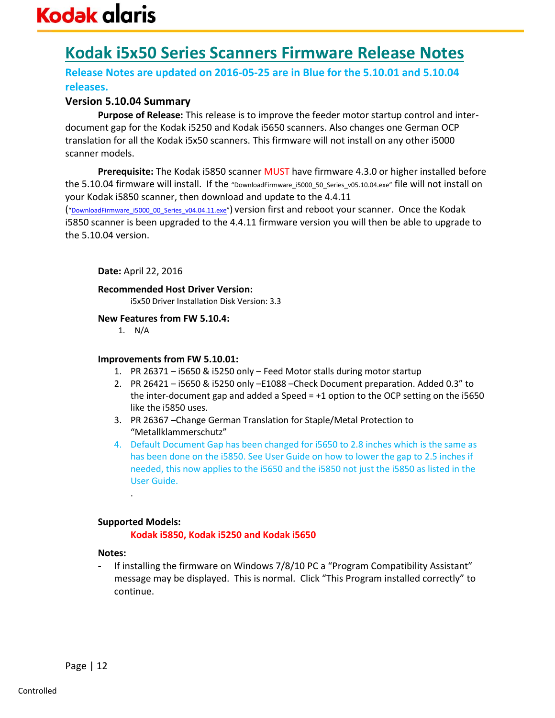# **Kodak i5x50 Series Scanners Firmware Release Notes**

## **Release Notes are updated on 2016-05-25 are in Blue for the 5.10.01 and 5.10.04 releases.**

### **Version 5.10.04 Summary**

**Purpose of Release:** This release is to improve the feeder motor startup control and interdocument gap for the Kodak i5250 and Kodak i5650 scanners. Also changes one German OCP translation for all the Kodak i5x50 scanners. This firmware will not install on any other i5000 scanner models.

**Prerequisite:** The Kodak i5850 scanner MUST have firmware 4.3.0 or higher installed before the 5.10.04 firmware will install. If the "DownloadFirmware\_i5000\_50\_Series\_v05.10.04.exe" file will not install on your Kodak i5850 scanner, then download and update to the 4.4.11

("[DownloadFirmware\\_i5000\\_00\\_Series\\_v04.04.11.exe](http://download.kodak.com/docimaging/drivers/DownloadFirmware_i5000_00_Series_v04.04.11.exe)") version first and reboot your scanner. Once the Kodak i5850 scanner is been upgraded to the 4.4.11 firmware version you will then be able to upgrade to the 5.10.04 version.

#### **Date:** April 22, 2016

**Recommended Host Driver Version:** 

i5x50 Driver Installation Disk Version: 3.3

#### **New Features from FW 5.10.4:**

1. N/A

#### **Improvements from FW 5.10.01:**

- 1. PR 26371 i5650 & i5250 only Feed Motor stalls during motor startup
- 2. PR 26421 i5650 & i5250 only –E1088 –Check Document preparation. Added 0.3" to the inter-document gap and added a Speed = +1 option to the OCP setting on the i5650 like the i5850 uses.
- 3. PR 26367 –Change German Translation for Staple/Metal Protection to "Metallklammerschutz"
- 4. Default Document Gap has been changed for i5650 to 2.8 inches which is the same as has been done on the i5850. See User Guide on how to lower the gap to 2.5 inches if needed, this now applies to the i5650 and the i5850 not just the i5850 as listed in the User Guide.

#### **Supported Models:**

.

#### **Kodak i5850, Kodak i5250 and Kodak i5650**

#### **Notes:**

**-** If installing the firmware on Windows 7/8/10 PC a "Program Compatibility Assistant" message may be displayed. This is normal. Click "This Program installed correctly" to continue.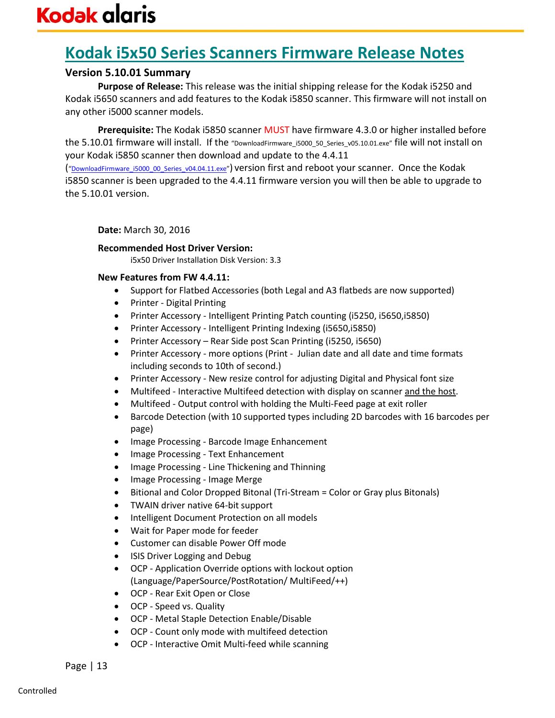## **Kodak i5x50 Series Scanners Firmware Release Notes**

## **Version 5.10.01 Summary**

**Purpose of Release:** This release was the initial shipping release for the Kodak i5250 and Kodak i5650 scanners and add features to the Kodak i5850 scanner. This firmware will not install on any other i5000 scanner models.

**Prerequisite:** The Kodak i5850 scanner MUST have firmware 4.3.0 or higher installed before the 5.10.01 firmware will install. If the "DownloadFirmware\_i5000\_50\_Series\_v05.10.01.exe" file will not install on your Kodak i5850 scanner then download and update to the 4.4.11

("[DownloadFirmware\\_i5000\\_00\\_Series\\_v04.04.11.exe](http://download.kodak.com/docimaging/drivers/DownloadFirmware_i5000_00_Series_v04.04.11.exe)") version first and reboot your scanner. Once the Kodak i5850 scanner is been upgraded to the 4.4.11 firmware version you will then be able to upgrade to the 5.10.01 version.

**Date:** March 30, 2016

#### **Recommended Host Driver Version:**

i5x50 Driver Installation Disk Version: 3.3

#### **New Features from FW 4.4.11:**

- Support for Flatbed Accessories (both Legal and A3 flatbeds are now supported)
- Printer Digital Printing
- Printer Accessory Intelligent Printing Patch counting (i5250, i5650,i5850)
- Printer Accessory Intelligent Printing Indexing (i5650,i5850)
- Printer Accessory Rear Side post Scan Printing (i5250, i5650)
- Printer Accessory more options (Print Julian date and all date and time formats including seconds to 10th of second.)
- Printer Accessory New resize control for adjusting Digital and Physical font size
- Multifeed Interactive Multifeed detection with display on scanner and the host.
- Multifeed Output control with holding the Multi-Feed page at exit roller
- Barcode Detection (with 10 supported types including 2D barcodes with 16 barcodes per page)
- Image Processing Barcode Image Enhancement
- Image Processing Text Enhancement
- Image Processing Line Thickening and Thinning
- Image Processing Image Merge
- Bitional and Color Dropped Bitonal (Tri-Stream = Color or Gray plus Bitonals)
- TWAIN driver native 64-bit support
- Intelligent Document Protection on all models
- Wait for Paper mode for feeder
- Customer can disable Power Off mode
- ISIS Driver Logging and Debug
- OCP Application Override options with lockout option (Language/PaperSource/PostRotation/ MultiFeed/++)
- OCP Rear Exit Open or Close
- OCP Speed vs. Quality
- OCP Metal Staple Detection Enable/Disable
- OCP Count only mode with multifeed detection
- OCP Interactive Omit Multi-feed while scanning